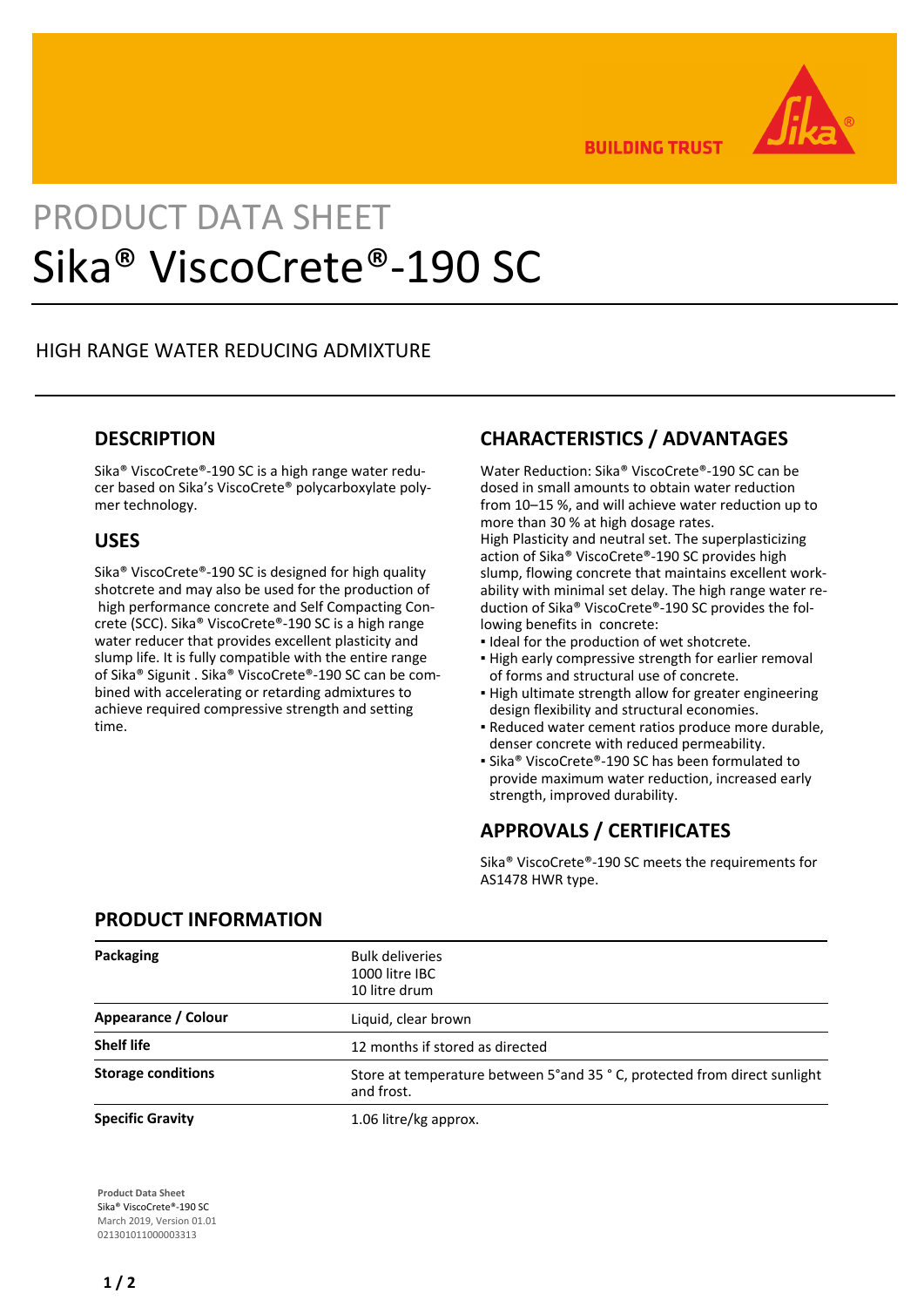

**BUILDING TRUST** 

# PRODUCT DATA SHEET Sika® ViscoCrete®-190 SC

## HIGH RANGE WATER REDUCING ADMIXTURE

## **DESCRIPTION**

Sika® ViscoCrete®-190 SC is a high range water reducer based on Sika's ViscoCrete® polycarboxylate polymer technology.

#### **USES**

Sika® ViscoCrete®-190 SC is designed for high quality shotcrete and may also be used for the production of high performance concrete and Self Compacting Concrete (SCC). Sika® ViscoCrete®-190 SC is a high range water reducer that provides excellent plasticity and slump life. It is fully compatible with the entire range of Sika® Sigunit . Sika® ViscoCrete®-190 SC can be combined with accelerating or retarding admixtures to achieve required compressive strength and setting time.

# **CHARACTERISTICS / ADVANTAGES**

Water Reduction: Sika® ViscoCrete®-190 SC can be dosed in small amounts to obtain water reduction from 10–15 %, and will achieve water reduction up to more than 30 % at high dosage rates. High Plasticity and neutral set. The superplasticizing action of Sika® ViscoCrete®-190 SC provides high slump, flowing concrete that maintains excellent workability with minimal set delay. The high range water reduction of Sika® ViscoCrete®-190 SC provides the following benefits in concrete:

- Ideal for the production of wet shotcrete.
- **.** High early compressive strength for earlier removal of forms and structural use of concrete.
- **.** High ultimate strength allow for greater engineering design flexibility and structural economies.
- Reduced water cement ratios produce more durable, denser concrete with reduced permeability.
- Sika® ViscoCrete®-190 SC has been formulated to provide maximum water reduction, increased early strength, improved durability.

# **APPROVALS / CERTIFICATES**

Sika® ViscoCrete®-190 SC meets the requirements for AS1478 HWR type.

| Packaging                 | <b>Bulk deliveries</b><br>1000 litre IBC<br>10 litre drum                                |
|---------------------------|------------------------------------------------------------------------------------------|
| Appearance / Colour       | Liquid, clear brown                                                                      |
| <b>Shelf life</b>         | 12 months if stored as directed                                                          |
| <b>Storage conditions</b> | Store at temperature between 5° and 35 ° C, protected from direct sunlight<br>and frost. |
| <b>Specific Gravity</b>   | 1.06 litre/kg approx.                                                                    |

## **PRODUCT INFORMATION**

**Product Data Sheet** Sika® ViscoCrete®-190 SC March 2019, Version 01.01 021301011000003313